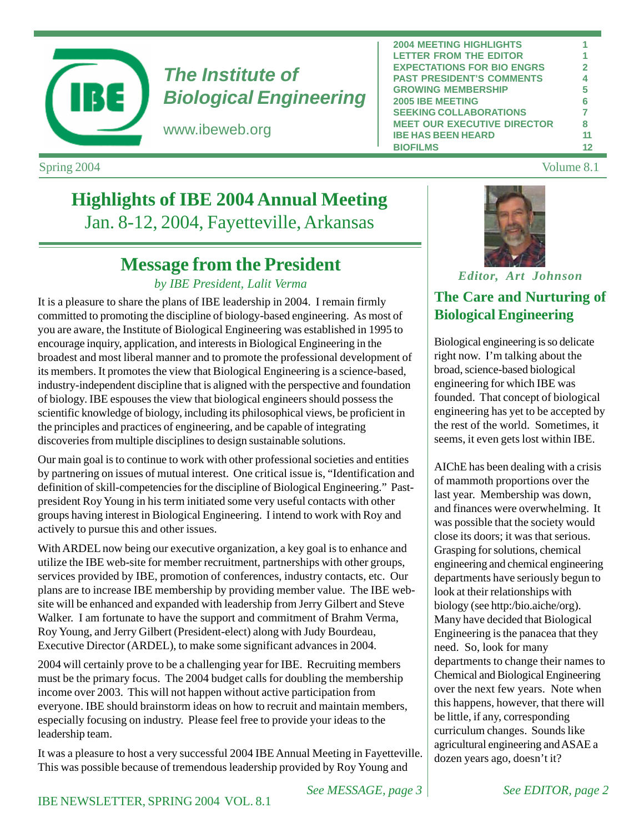

# *The Institute of Biological Engineering*

www.ibeweb.org

| <b>2004 MEETING HIGHLIGHTS</b>     |                         |
|------------------------------------|-------------------------|
| <b>LETTER FROM THE EDITOR</b>      |                         |
| <b>EXPECTATIONS FOR BIO ENGRS</b>  | $\overline{\mathbf{z}}$ |
| <b>PAST PRESIDENT'S COMMENTS</b>   | 4                       |
| <b>GROWING MEMBERSHIP</b>          | 5                       |
| <b>2005 IBE MEETING</b>            | 6                       |
| <b>SEEKING COLLABORATIONS</b>      | 7                       |
| <b>MEET OUR EXECUTIVE DIRECTOR</b> | 8                       |
| <b>IBE HAS BEEN HEARD</b>          | 11                      |
| <b>BIOFILMS</b>                    |                         |

Spring 2004 Volume 8.1

# **Highlights of IBE 2004 Annual Meeting** Jan. 8-12, 2004, Fayetteville, Arkansas

# **Message from the President**

### *by IBE President, Lalit Verma*

It is a pleasure to share the plans of IBE leadership in 2004. I remain firmly committed to promoting the discipline of biology-based engineering. As most of you are aware, the Institute of Biological Engineering was established in 1995 to encourage inquiry, application, and interests in Biological Engineering in the broadest and most liberal manner and to promote the professional development of its members. It promotes the view that Biological Engineering is a science-based, industry-independent discipline that is aligned with the perspective and foundation of biology. IBE espouses the view that biological engineers should possess the scientific knowledge of biology, including its philosophical views, be proficient in the principles and practices of engineering, and be capable of integrating discoveries from multiple disciplines to design sustainable solutions.

Our main goal is to continue to work with other professional societies and entities by partnering on issues of mutual interest. One critical issue is, "Identification and definition of skill-competencies for the discipline of Biological Engineering." Pastpresident Roy Young in his term initiated some very useful contacts with other groups having interest in Biological Engineering. I intend to work with Roy and actively to pursue this and other issues.

With ARDEL now being our executive organization, a key goal is to enhance and utilize the IBE web-site for member recruitment, partnerships with other groups, services provided by IBE, promotion of conferences, industry contacts, etc. Our plans are to increase IBE membership by providing member value. The IBE website will be enhanced and expanded with leadership from Jerry Gilbert and Steve Walker. I am fortunate to have the support and commitment of Brahm Verma, Roy Young, and Jerry Gilbert (President-elect) along with Judy Bourdeau, Executive Director (ARDEL), to make some significant advances in 2004.

2004 will certainly prove to be a challenging year for IBE. Recruiting members must be the primary focus. The 2004 budget calls for doubling the membership income over 2003. This will not happen without active participation from everyone. IBE should brainstorm ideas on how to recruit and maintain members, especially focusing on industry. Please feel free to provide your ideas to the leadership team.

It was a pleasure to host a very successful 2004 IBE Annual Meeting in Fayetteville. This was possible because of tremendous leadership provided by Roy Young and



*Editor, Art Johnson*

## **The Care and Nurturing of Biological Engineering**

Biological engineering is so delicate right now. I'm talking about the broad, science-based biological engineering for which IBE was founded. That concept of biological engineering has yet to be accepted by the rest of the world. Sometimes, it seems, it even gets lost within IBE.

AIChE has been dealing with a crisis of mammoth proportions over the last year. Membership was down, and finances were overwhelming. It was possible that the society would close its doors; it was that serious. Grasping for solutions, chemical engineering and chemical engineering departments have seriously begun to look at their relationships with biology (see http:/bio.aiche/org). Many have decided that Biological Engineering is the panacea that they need. So, look for many departments to change their names to Chemical and Biological Engineering over the next few years. Note when this happens, however, that there will be little, if any, corresponding curriculum changes. Sounds like agricultural engineering and ASAE a dozen years ago, doesn't it?

*See MESSAGE, page 3 See EDITOR, page 2*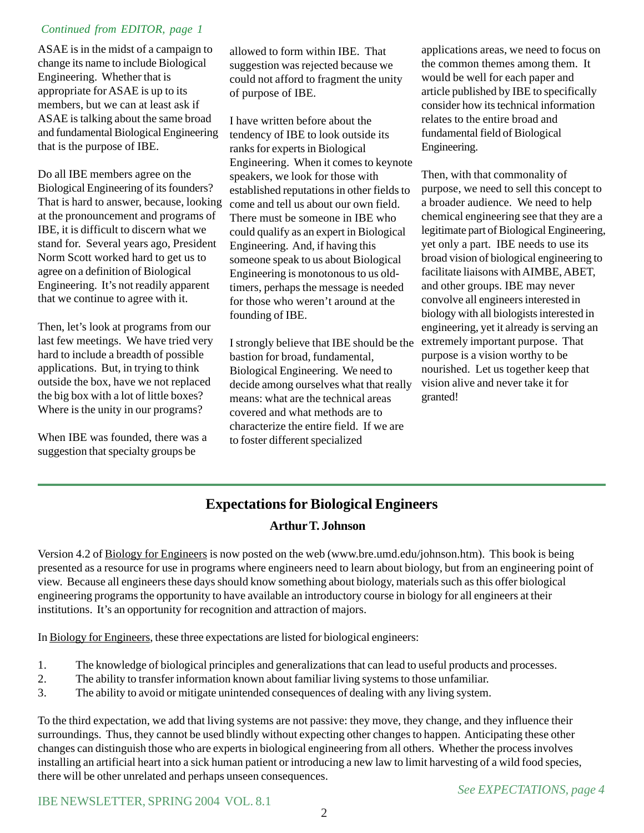### *Continued from EDITOR, page 1*

ASAE is in the midst of a campaign to change its name to include Biological Engineering. Whether that is appropriate for ASAE is up to its members, but we can at least ask if ASAE is talking about the same broad and fundamental Biological Engineering that is the purpose of IBE.

Do all IBE members agree on the Biological Engineering of its founders? That is hard to answer, because, looking at the pronouncement and programs of IBE, it is difficult to discern what we stand for. Several years ago, President Norm Scott worked hard to get us to agree on a definition of Biological Engineering. It's not readily apparent that we continue to agree with it.

Then, let's look at programs from our last few meetings. We have tried very hard to include a breadth of possible applications. But, in trying to think outside the box, have we not replaced the big box with a lot of little boxes? Where is the unity in our programs?

When IBE was founded, there was a suggestion that specialty groups be

allowed to form within IBE. That suggestion was rejected because we could not afford to fragment the unity of purpose of IBE.

I have written before about the tendency of IBE to look outside its ranks for experts in Biological Engineering. When it comes to keynote speakers, we look for those with established reputations in other fields to come and tell us about our own field. There must be someone in IBE who could qualify as an expert in Biological Engineering. And, if having this someone speak to us about Biological Engineering is monotonous to us oldtimers, perhaps the message is needed for those who weren't around at the founding of IBE.

I strongly believe that IBE should be the bastion for broad, fundamental, Biological Engineering. We need to decide among ourselves what that really means: what are the technical areas covered and what methods are to characterize the entire field. If we are to foster different specialized

applications areas, we need to focus on the common themes among them. It would be well for each paper and article published by IBE to specifically consider how its technical information relates to the entire broad and fundamental field of Biological Engineering.

Then, with that commonality of purpose, we need to sell this concept to a broader audience. We need to help chemical engineering see that they are a legitimate part of Biological Engineering, yet only a part. IBE needs to use its broad vision of biological engineering to facilitate liaisons with AIMBE, ABET, and other groups. IBE may never convolve all engineers interested in biology with all biologists interested in engineering, yet it already is serving an extremely important purpose. That purpose is a vision worthy to be nourished. Let us together keep that vision alive and never take it for granted!

# **Expectations for Biological Engineers**

#### **Arthur T. Johnson**

Version 4.2 of Biology for Engineers is now posted on the web (www.bre.umd.edu/johnson.htm). This book is being presented as a resource for use in programs where engineers need to learn about biology, but from an engineering point of view. Because all engineers these days should know something about biology, materials such as this offer biological engineering programs the opportunity to have available an introductory course in biology for all engineers at their institutions. It's an opportunity for recognition and attraction of majors.

In Biology for Engineers, these three expectations are listed for biological engineers:

- 1. The knowledge of biological principles and generalizations that can lead to useful products and processes.
- 2. The ability to transfer information known about familiar living systems to those unfamiliar.
- 3. The ability to avoid or mitigate unintended consequences of dealing with any living system.

To the third expectation, we add that living systems are not passive: they move, they change, and they influence their surroundings. Thus, they cannot be used blindly without expecting other changes to happen. Anticipating these other changes can distinguish those who are experts in biological engineering from all others. Whether the process involves installing an artificial heart into a sick human patient or introducing a new law to limit harvesting of a wild food species, there will be other unrelated and perhaps unseen consequences.

IBE NEWSLETTER, SPRING 2004 VOL. 8.1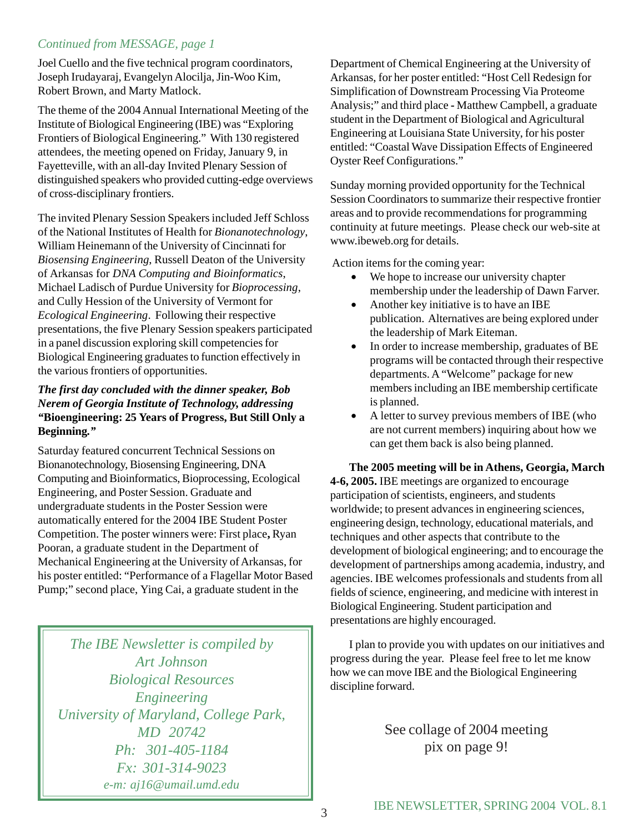### *Continued from MESSAGE, page 1*

Joel Cuello and the five technical program coordinators, Joseph Irudayaraj, Evangelyn Alocilja, Jin-Woo Kim, Robert Brown, and Marty Matlock.

The theme of the 2004 Annual International Meeting of the Institute of Biological Engineering (IBE) was "Exploring Frontiers of Biological Engineering." With 130 registered attendees, the meeting opened on Friday, January 9, in Fayetteville, with an all-day Invited Plenary Session of distinguished speakers who provided cutting-edge overviews of cross-disciplinary frontiers.

The invited Plenary Session Speakers included Jeff Schloss of the National Institutes of Health for *Bionanotechnology*, William Heinemann of the University of Cincinnati for *Biosensing Engineering*, Russell Deaton of the University of Arkansas for *DNA Computing and Bioinformatics*, Michael Ladisch of Purdue University for *Bioprocessing*, and Cully Hession of the University of Vermont for *Ecological Engineering*. Following their respective presentations, the five Plenary Session speakers participated in a panel discussion exploring skill competencies for Biological Engineering graduates to function effectively in the various frontiers of opportunities.

#### *The first day concluded with the dinner speaker, Bob Nerem of Georgia Institute of Technology, addressing "***Bioengineering: 25 Years of Progress, But Still Only a Beginning***."*

Saturday featured concurrent Technical Sessions on Bionanotechnology, Biosensing Engineering, DNA Computing and Bioinformatics, Bioprocessing, Ecological Engineering, and Poster Session. Graduate and undergraduate students in the Poster Session were automatically entered for the 2004 IBE Student Poster Competition. The poster winners were: First place**,** Ryan Pooran, a graduate student in the Department of Mechanical Engineering at the University of Arkansas, for his poster entitled: "Performance of a Flagellar Motor Based Pump;" second place, Ying Cai, a graduate student in the

*The IBE Newsletter is compiled by Art Johnson Biological Resources Engineering University of Maryland, College Park, MD 20742 Ph: 301-405-1184 Fx: 301-314-9023 e-m: aj16@umail.umd.edu*

Department of Chemical Engineering at the University of Arkansas, for her poster entitled: "Host Cell Redesign for Simplification of Downstream Processing Via Proteome Analysis;" and third place **-** Matthew Campbell, a graduate student in the Department of Biological and Agricultural Engineering at Louisiana State University, for his poster entitled: "Coastal Wave Dissipation Effects of Engineered Oyster Reef Configurations."

Sunday morning provided opportunity for the Technical Session Coordinators to summarize their respective frontier areas and to provide recommendations for programming continuity at future meetings. Please check our web-site at www.ibeweb.org for details.

Action items for the coming year:

- We hope to increase our university chapter membership under the leadership of Dawn Farver.
- Another key initiative is to have an IBE publication. Alternatives are being explored under the leadership of Mark Eiteman.
- In order to increase membership, graduates of BE programs will be contacted through their respective departments. A "Welcome" package for new members including an IBE membership certificate is planned.
- A letter to survey previous members of IBE (who are not current members) inquiring about how we can get them back is also being planned.

**The 2005 meeting will be in Athens, Georgia, March 4-6, 2005.** IBE meetings are organized to encourage participation of scientists, engineers, and students worldwide; to present advances in engineering sciences, engineering design, technology, educational materials, and techniques and other aspects that contribute to the development of biological engineering; and to encourage the development of partnerships among academia, industry, and agencies. IBE welcomes professionals and students from all fields of science, engineering, and medicine with interest in Biological Engineering. Student participation and presentations are highly encouraged.

I plan to provide you with updates on our initiatives and progress during the year. Please feel free to let me know how we can move IBE and the Biological Engineering discipline forward.

> See collage of 2004 meeting pix on page 9!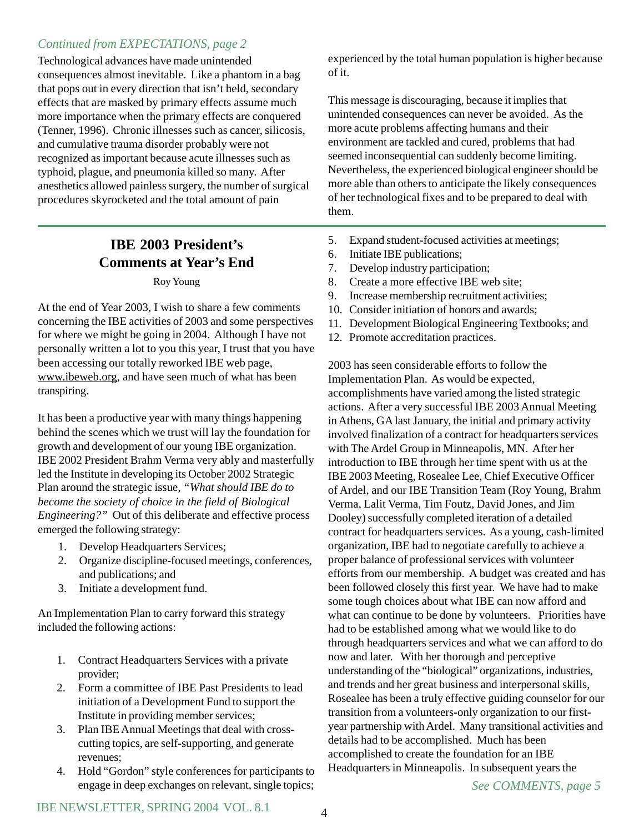### *Continued from EXPECTATIONS, page 2*

Technological advances have made unintended consequences almost inevitable. Like a phantom in a bag that pops out in every direction that isn't held, secondary effects that are masked by primary effects assume much more importance when the primary effects are conquered (Tenner, 1996). Chronic illnesses such as cancer, silicosis, and cumulative trauma disorder probably were not recognized as important because acute illnesses such as typhoid, plague, and pneumonia killed so many. After anesthetics allowed painless surgery, the number of surgical procedures skyrocketed and the total amount of pain

# **IBE 2003 President's Comments at Year's End**

#### Roy Young

At the end of Year 2003, I wish to share a few comments concerning the IBE activities of 2003 and some perspectives for where we might be going in 2004. Although I have not personally written a lot to you this year, I trust that you have been accessing our totally reworked IBE web page, www.ibeweb.org, and have seen much of what has been transpiring.

It has been a productive year with many things happening behind the scenes which we trust will lay the foundation for growth and development of our young IBE organization. IBE 2002 President Brahm Verma very ably and masterfully led the Institute in developing its October 2002 Strategic Plan around the strategic issue, *"What should IBE do to become the society of choice in the field of Biological Engineering?"* Out of this deliberate and effective process emerged the following strategy:

- 1. Develop Headquarters Services;
- 2. Organize discipline-focused meetings, conferences, and publications; and
- 3. Initiate a development fund.

An Implementation Plan to carry forward this strategy included the following actions:

- 1. Contract Headquarters Services with a private provider;
- 2. Form a committee of IBE Past Presidents to lead initiation of a Development Fund to support the Institute in providing member services;
- 3. Plan IBE Annual Meetings that deal with crosscutting topics, are self-supporting, and generate revenues;
- 4. Hold "Gordon" style conferences for participants to engage in deep exchanges on relevant, single topics;

experienced by the total human population is higher because of it.

This message is discouraging, because it implies that unintended consequences can never be avoided. As the more acute problems affecting humans and their environment are tackled and cured, problems that had seemed inconsequential can suddenly become limiting. Nevertheless, the experienced biological engineer should be more able than others to anticipate the likely consequences of her technological fixes and to be prepared to deal with them.

- 5. Expand student-focused activities at meetings;
- 6. Initiate IBE publications;
- 7. Develop industry participation;
- 8. Create a more effective IBE web site;
- 9. Increase membership recruitment activities;
- 10. Consider initiation of honors and awards;
- 11. Development Biological Engineering Textbooks; and
- 12. Promote accreditation practices.

2003 has seen considerable efforts to follow the Implementation Plan. As would be expected, accomplishments have varied among the listed strategic actions. After a very successful IBE 2003 Annual Meeting in Athens, GA last January, the initial and primary activity involved finalization of a contract for headquarters services with The Ardel Group in Minneapolis, MN. After her introduction to IBE through her time spent with us at the IBE 2003 Meeting, Rosealee Lee, Chief Executive Officer of Ardel, and our IBE Transition Team (Roy Young, Brahm Verma, Lalit Verma, Tim Foutz, David Jones, and Jim Dooley) successfully completed iteration of a detailed contract for headquarters services. As a young, cash-limited organization, IBE had to negotiate carefully to achieve a proper balance of professional services with volunteer efforts from our membership. A budget was created and has been followed closely this first year. We have had to make some tough choices about what IBE can now afford and what can continue to be done by volunteers. Priorities have had to be established among what we would like to do through headquarters services and what we can afford to do now and later. With her thorough and perceptive understanding of the "biological" organizations, industries, and trends and her great business and interpersonal skills, Rosealee has been a truly effective guiding counselor for our transition from a volunteers-only organization to our firstyear partnership with Ardel. Many transitional activities and details had to be accomplished. Much has been accomplished to create the foundation for an IBE Headquarters in Minneapolis. In subsequent years the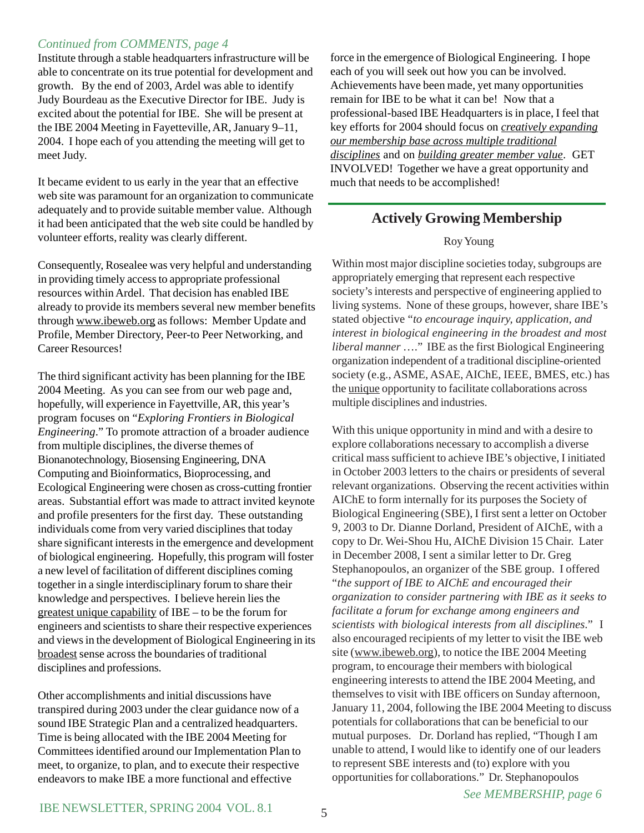#### *Continued from COMMENTS, page 4*

Institute through a stable headquarters infrastructure will be able to concentrate on its true potential for development and growth. By the end of 2003, Ardel was able to identify Judy Bourdeau as the Executive Director for IBE. Judy is excited about the potential for IBE. She will be present at the IBE 2004 Meeting in Fayetteville, AR, January 9–11, 2004. I hope each of you attending the meeting will get to meet Judy.

It became evident to us early in the year that an effective web site was paramount for an organization to communicate adequately and to provide suitable member value. Although it had been anticipated that the web site could be handled by volunteer efforts, reality was clearly different.

Consequently, Rosealee was very helpful and understanding in providing timely access to appropriate professional resources within Ardel. That decision has enabled IBE already to provide its members several new member benefits through www.ibeweb.org as follows: Member Update and Profile, Member Directory, Peer-to Peer Networking, and Career Resources!

The third significant activity has been planning for the IBE 2004 Meeting. As you can see from our web page and, hopefully, will experience in Fayettville, AR, this year's program focuses on "*Exploring Frontiers in Biological Engineering*." To promote attraction of a broader audience from multiple disciplines, the diverse themes of Bionanotechnology, Biosensing Engineering, DNA Computing and Bioinformatics, Bioprocessing, and Ecological Engineering were chosen as cross-cutting frontier areas. Substantial effort was made to attract invited keynote and profile presenters for the first day. These outstanding individuals come from very varied disciplines that today share significant interests in the emergence and development of biological engineering. Hopefully, this program will foster a new level of facilitation of different disciplines coming together in a single interdisciplinary forum to share their knowledge and perspectives. I believe herein lies the greatest unique capability of IBE – to be the forum for engineers and scientists to share their respective experiences and views in the development of Biological Engineering in its broadest sense across the boundaries of traditional disciplines and professions.

Other accomplishments and initial discussions have transpired during 2003 under the clear guidance now of a sound IBE Strategic Plan and a centralized headquarters. Time is being allocated with the IBE 2004 Meeting for Committees identified around our Implementation Plan to meet, to organize, to plan, and to execute their respective endeavors to make IBE a more functional and effective

force in the emergence of Biological Engineering. I hope each of you will seek out how you can be involved. Achievements have been made, yet many opportunities remain for IBE to be what it can be! Now that a professional-based IBE Headquarters is in place, I feel that key efforts for 2004 should focus on *creatively expanding our membership base across multiple traditional disciplines* and on *building greater member value*. GET INVOLVED! Together we have a great opportunity and much that needs to be accomplished!

### **Actively Growing Membership**

#### Roy Young

Within most major discipline societies today, subgroups are appropriately emerging that represent each respective society's interests and perspective of engineering applied to living systems. None of these groups, however, share IBE's stated objective "*to encourage inquiry, application, and interest in biological engineering in the broadest and most liberal manner* …." IBE as the first Biological Engineering organization independent of a traditional discipline-oriented society (e.g., ASME, ASAE, AIChE, IEEE, BMES, etc.) has the unique opportunity to facilitate collaborations across multiple disciplines and industries.

With this unique opportunity in mind and with a desire to explore collaborations necessary to accomplish a diverse critical mass sufficient to achieve IBE's objective, I initiated in October 2003 letters to the chairs or presidents of several relevant organizations. Observing the recent activities within AIChE to form internally for its purposes the Society of Biological Engineering (SBE), I first sent a letter on October 9, 2003 to Dr. Dianne Dorland, President of AIChE, with a copy to Dr. Wei-Shou Hu, AIChE Division 15 Chair. Later in December 2008, I sent a similar letter to Dr. Greg Stephanopoulos, an organizer of the SBE group. I offered "*the support of IBE to AIChE and encouraged their organization to consider partnering with IBE as it seeks to facilitate a forum for exchange among engineers and scientists with biological interests from all disciplines*." I also encouraged recipients of my letter to visit the IBE web site (www.ibeweb.org), to notice the IBE 2004 Meeting program, to encourage their members with biological engineering interests to attend the IBE 2004 Meeting, and themselves to visit with IBE officers on Sunday afternoon, January 11, 2004, following the IBE 2004 Meeting to discuss potentials for collaborations that can be beneficial to our mutual purposes. Dr. Dorland has replied, "Though I am unable to attend, I would like to identify one of our leaders to represent SBE interests and (to) explore with you opportunities for collaborations." Dr. Stephanopoulos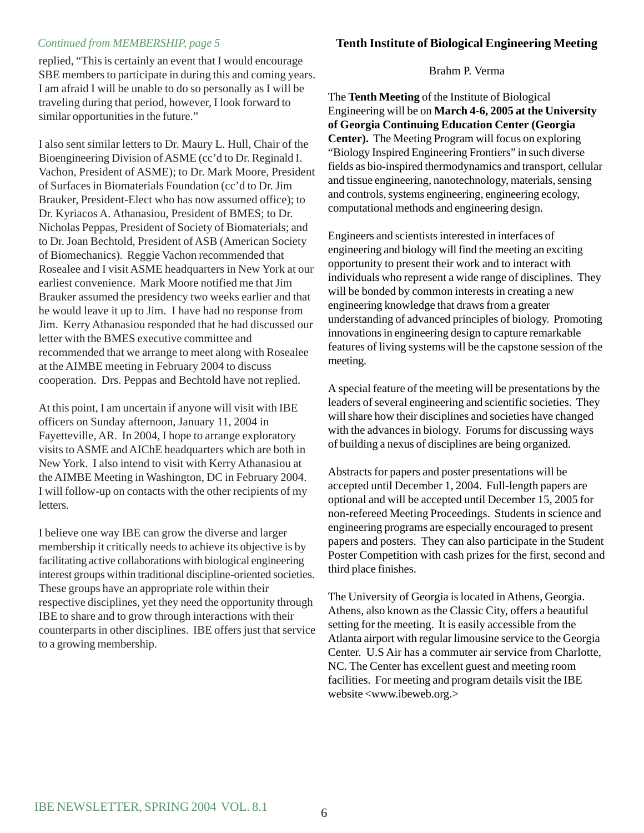replied, "This is certainly an event that I would encourage SBE members to participate in during this and coming years. I am afraid I will be unable to do so personally as I will be traveling during that period, however, I look forward to similar opportunities in the future."

I also sent similar letters to Dr. Maury L. Hull, Chair of the Bioengineering Division of ASME (cc'd to Dr. Reginald I. Vachon, President of ASME); to Dr. Mark Moore, President of Surfaces in Biomaterials Foundation (cc'd to Dr. Jim Brauker, President-Elect who has now assumed office); to Dr. Kyriacos A. Athanasiou, President of BMES; to Dr. Nicholas Peppas, President of Society of Biomaterials; and to Dr. Joan Bechtold, President of ASB (American Society of Biomechanics). Reggie Vachon recommended that Rosealee and I visit ASME headquarters in New York at our earliest convenience. Mark Moore notified me that Jim Brauker assumed the presidency two weeks earlier and that he would leave it up to Jim. I have had no response from Jim. Kerry Athanasiou responded that he had discussed our letter with the BMES executive committee and recommended that we arrange to meet along with Rosealee at the AIMBE meeting in February 2004 to discuss cooperation. Drs. Peppas and Bechtold have not replied.

At this point, I am uncertain if anyone will visit with IBE officers on Sunday afternoon, January 11, 2004 in Fayetteville, AR. In 2004, I hope to arrange exploratory visits to ASME and AIChE headquarters which are both in New York. I also intend to visit with Kerry Athanasiou at the AIMBE Meeting in Washington, DC in February 2004. I will follow-up on contacts with the other recipients of my letters.

I believe one way IBE can grow the diverse and larger membership it critically needs to achieve its objective is by facilitating active collaborations with biological engineering interest groups within traditional discipline-oriented societies. These groups have an appropriate role within their respective disciplines, yet they need the opportunity through IBE to share and to grow through interactions with their counterparts in other disciplines. IBE offers just that service to a growing membership.

#### Brahm P. Verma

The **Tenth Meeting** of the Institute of Biological Engineering will be on **March 4-6, 2005 at the University of Georgia Continuing Education Center (Georgia Center).** The Meeting Program will focus on exploring "Biology Inspired Engineering Frontiers" in such diverse fields as bio-inspired thermodynamics and transport, cellular and tissue engineering, nanotechnology, materials, sensing and controls, systems engineering, engineering ecology, computational methods and engineering design.

Engineers and scientists interested in interfaces of engineering and biology will find the meeting an exciting opportunity to present their work and to interact with individuals who represent a wide range of disciplines. They will be bonded by common interests in creating a new engineering knowledge that draws from a greater understanding of advanced principles of biology. Promoting innovations in engineering design to capture remarkable features of living systems will be the capstone session of the meeting.

A special feature of the meeting will be presentations by the leaders of several engineering and scientific societies. They will share how their disciplines and societies have changed with the advances in biology. Forums for discussing ways of building a nexus of disciplines are being organized.

Abstracts for papers and poster presentations will be accepted until December 1, 2004. Full-length papers are optional and will be accepted until December 15, 2005 for non-refereed Meeting Proceedings. Students in science and engineering programs are especially encouraged to present papers and posters. They can also participate in the Student Poster Competition with cash prizes for the first, second and third place finishes.

The University of Georgia is located in Athens, Georgia. Athens, also known as the Classic City, offers a beautiful setting for the meeting. It is easily accessible from the Atlanta airport with regular limousine service to the Georgia Center. U.S Air has a commuter air service from Charlotte, NC. The Center has excellent guest and meeting room facilities. For meeting and program details visit the IBE website <www.ibeweb.org.>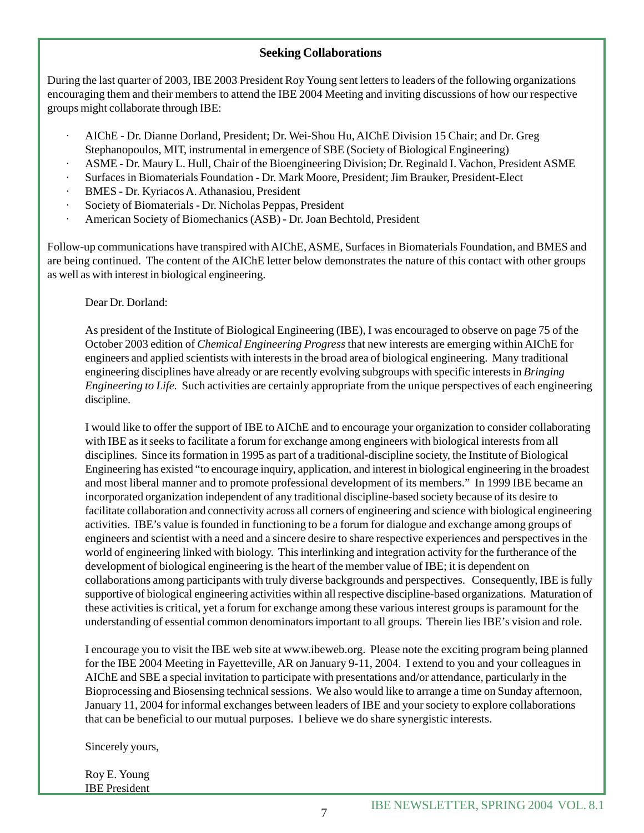#### **Seeking Collaborations**

During the last quarter of 2003, IBE 2003 President Roy Young sent letters to leaders of the following organizations encouraging them and their members to attend the IBE 2004 Meeting and inviting discussions of how our respective groups might collaborate through IBE:

- · AIChE Dr. Dianne Dorland, President; Dr. Wei-Shou Hu, AIChE Division 15 Chair; and Dr. Greg Stephanopoulos, MIT, instrumental in emergence of SBE (Society of Biological Engineering)
- · ASME Dr. Maury L. Hull, Chair of the Bioengineering Division; Dr. Reginald I. Vachon, President ASME
- · Surfaces in Biomaterials Foundation Dr. Mark Moore, President; Jim Brauker, President-Elect
- · BMES Dr. Kyriacos A. Athanasiou, President
- · Society of Biomaterials Dr. Nicholas Peppas, President
- · American Society of Biomechanics (ASB) Dr. Joan Bechtold, President

Follow-up communications have transpired with AIChE, ASME, Surfaces in Biomaterials Foundation, and BMES and are being continued. The content of the AIChE letter below demonstrates the nature of this contact with other groups as well as with interest in biological engineering.

Dear Dr. Dorland:

As president of the Institute of Biological Engineering (IBE), I was encouraged to observe on page 75 of the October 2003 edition of *Chemical Engineering Progress* that new interests are emerging within AIChE for engineers and applied scientists with interests in the broad area of biological engineering. Many traditional engineering disciplines have already or are recently evolving subgroups with specific interests in *Bringing Engineering to Life.* Such activities are certainly appropriate from the unique perspectives of each engineering discipline.

I would like to offer the support of IBE to AIChE and to encourage your organization to consider collaborating with IBE as it seeks to facilitate a forum for exchange among engineers with biological interests from all disciplines. Since its formation in 1995 as part of a traditional-discipline society, the Institute of Biological Engineering has existed "to encourage inquiry, application, and interest in biological engineering in the broadest and most liberal manner and to promote professional development of its members." In 1999 IBE became an incorporated organization independent of any traditional discipline-based society because of its desire to facilitate collaboration and connectivity across all corners of engineering and science with biological engineering activities. IBE's value is founded in functioning to be a forum for dialogue and exchange among groups of engineers and scientist with a need and a sincere desire to share respective experiences and perspectives in the world of engineering linked with biology. This interlinking and integration activity for the furtherance of the development of biological engineering is the heart of the member value of IBE; it is dependent on collaborations among participants with truly diverse backgrounds and perspectives. Consequently, IBE is fully supportive of biological engineering activities within all respective discipline-based organizations. Maturation of these activities is critical, yet a forum for exchange among these various interest groups is paramount for the understanding of essential common denominators important to all groups. Therein lies IBE's vision and role.

I encourage you to visit the IBE web site at www.ibeweb.org. Please note the exciting program being planned for the IBE 2004 Meeting in Fayetteville, AR on January 9-11, 2004. I extend to you and your colleagues in AIChE and SBE a special invitation to participate with presentations and/or attendance, particularly in the Bioprocessing and Biosensing technical sessions. We also would like to arrange a time on Sunday afternoon, January 11, 2004 for informal exchanges between leaders of IBE and your society to explore collaborations that can be beneficial to our mutual purposes. I believe we do share synergistic interests.

Sincerely yours,

Roy E. Young IBE President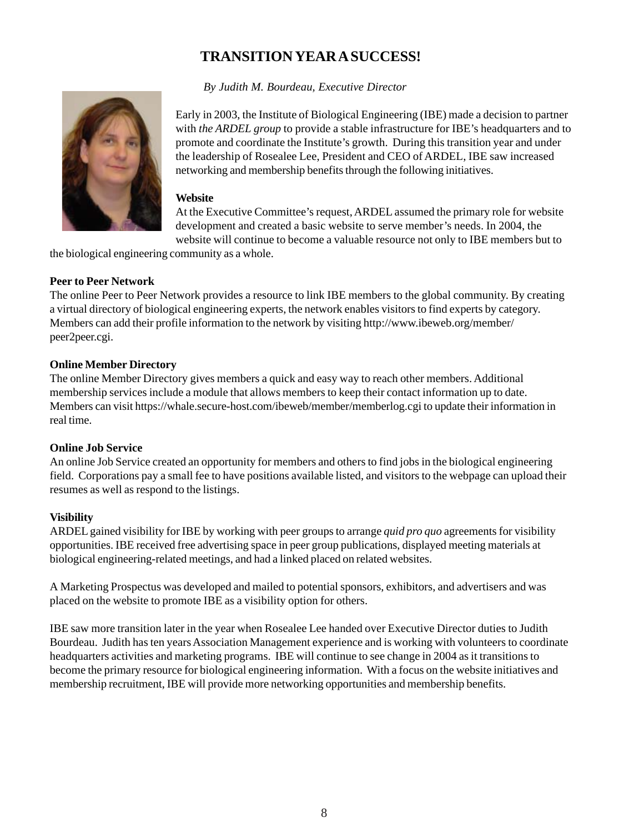# **TRANSITION YEAR A SUCCESS!**

 *By Judith M. Bourdeau, Executive Director*



Early in 2003, the Institute of Biological Engineering (IBE) made a decision to partner with *the ARDEL group* to provide a stable infrastructure for IBE's headquarters and to promote and coordinate the Institute's growth. During this transition year and under the leadership of Rosealee Lee, President and CEO of ARDEL, IBE saw increased networking and membership benefits through the following initiatives.

#### **Website**

At the Executive Committee's request, ARDEL assumed the primary role for website development and created a basic website to serve member's needs. In 2004, the website will continue to become a valuable resource not only to IBE members but to

the biological engineering community as a whole.

#### **Peer to Peer Network**

The online Peer to Peer Network provides a resource to link IBE members to the global community. By creating a virtual directory of biological engineering experts, the network enables visitors to find experts by category. Members can add their profile information to the network by visiting http://www.ibeweb.org/member/ peer2peer.cgi.

#### **Online Member Directory**

The online Member Directory gives members a quick and easy way to reach other members. Additional membership services include a module that allows members to keep their contact information up to date. Members can visit https://whale.secure-host.com/ibeweb/member/memberlog.cgi to update their information in real time.

#### **Online Job Service**

An online Job Service created an opportunity for members and others to find jobs in the biological engineering field. Corporations pay a small fee to have positions available listed, and visitors to the webpage can upload their resumes as well as respond to the listings.

#### **Visibility**

ARDEL gained visibility for IBE by working with peer groups to arrange *quid pro quo* agreements for visibility opportunities. IBE received free advertising space in peer group publications, displayed meeting materials at biological engineering-related meetings, and had a linked placed on related websites.

A Marketing Prospectus was developed and mailed to potential sponsors, exhibitors, and advertisers and was placed on the website to promote IBE as a visibility option for others.

IBE saw more transition later in the year when Rosealee Lee handed over Executive Director duties to Judith Bourdeau. Judith has ten years Association Management experience and is working with volunteers to coordinate headquarters activities and marketing programs. IBE will continue to see change in 2004 as it transitions to become the primary resource for biological engineering information. With a focus on the website initiatives and membership recruitment, IBE will provide more networking opportunities and membership benefits.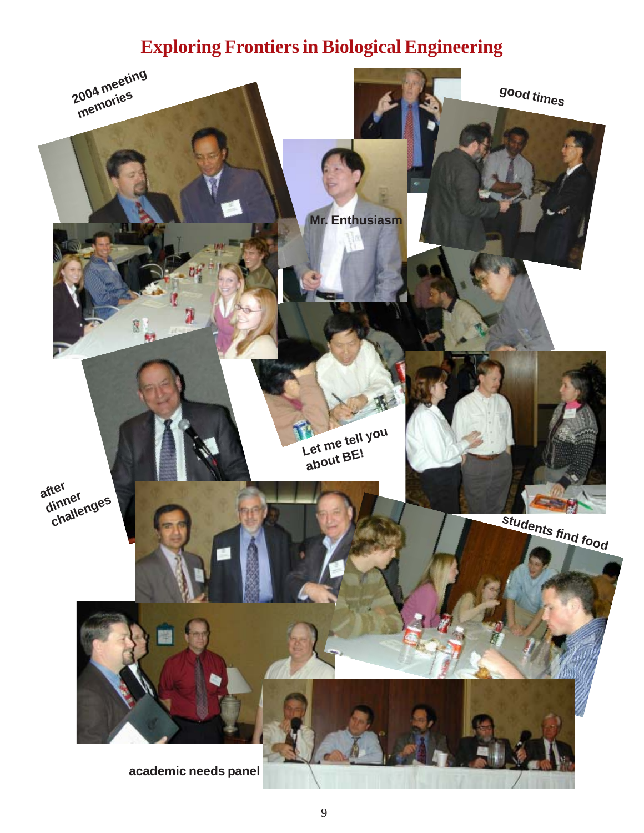# **Exploring Frontiers in Biological Engineering**

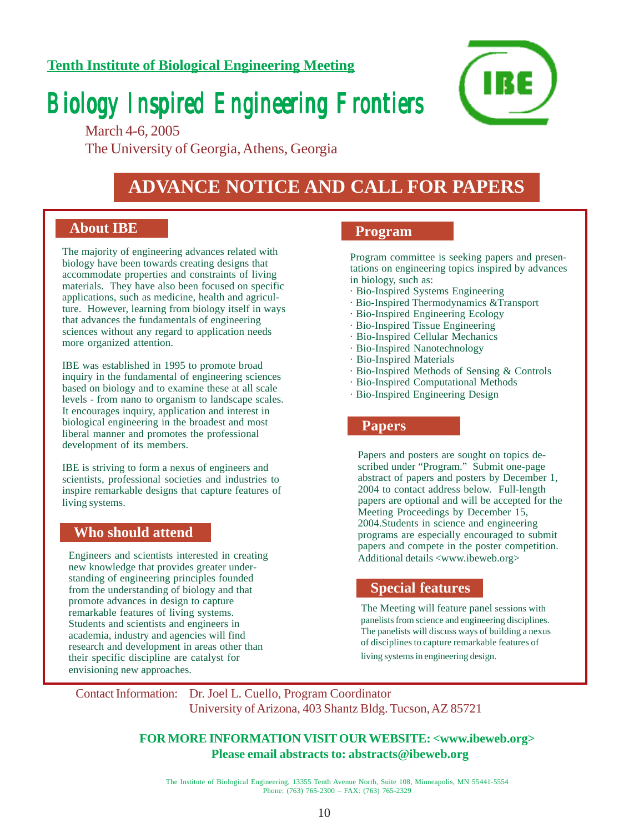### **Tenth Institute of Biological Engineering Meeting**

# *Biology Inspired Engineering Frontiers Biology Inspired Engineering Frontiers Biology Inspired Engineering Frontiers*



March 4-6, 2005 The University of Georgia, Athens, Georgia

# **ADVANCE NOTICE AND CALL FOR PAPERS**

#### **About IBE**

The majority of engineering advances related with biology have been towards creating designs that accommodate properties and constraints of living materials. They have also been focused on specific applications, such as medicine, health and agriculture. However, learning from biology itself in ways that advances the fundamentals of engineering sciences without any regard to application needs more organized attention.

IBE was established in 1995 to promote broad inquiry in the fundamental of engineering sciences based on biology and to examine these at all scale levels - from nano to organism to landscape scales. It encourages inquiry, application and interest in biological engineering in the broadest and most liberal manner and promotes the professional development of its members.

IBE is striving to form a nexus of engineers and scientists, professional societies and industries to inspire remarkable designs that capture features of living systems.

#### **Who should attend**

Engineers and scientists interested in creating new knowledge that provides greater understanding of engineering principles founded from the understanding of biology and that promote advances in design to capture remarkable features of living systems. Students and scientists and engineers in academia, industry and agencies will find research and development in areas other than their specific discipline are catalyst for envisioning new approaches.

#### **Program**

Program committee is seeking papers and presentations on engineering topics inspired by advances in biology, such as:

- · Bio-Inspired Systems Engineering
- · Bio-Inspired Thermodynamics &Transport
- · Bio-Inspired Engineering Ecology
- · Bio-Inspired Tissue Engineering
- · Bio-Inspired Cellular Mechanics
- · Bio-Inspired Nanotechnology
- · Bio-Inspired Materials
- · Bio-Inspired Methods of Sensing & Controls
- · Bio-Inspired Computational Methods
- $\cdot$  Bio-Inspired Engineering Design

#### **Papers**

Papers and posters are sought on topics described under "Program." Submit one-page abstract of papers and posters by December 1, 2004 to contact address below. Full-length papers are optional and will be accepted for the Meeting Proceedings by December 15, 2004.Students in science and engineering programs are especially encouraged to submit papers and compete in the poster competition. Additional details <www.ibeweb.org>

#### **Special features**

The Meeting will feature panel sessions with panelists from science and engineering disciplines. The panelists will discuss ways of building a nexus of disciplines to capture remarkable features of living systems in engineering design.

Contact Information: Dr. Joel L. Cuello, Program Coordinator University of Arizona, 403 Shantz Bldg. Tucson, AZ 85721

#### **FOR MORE INFORMATION VISIT OUR WEBSITE: <www.ibeweb.org> Please email abstracts to: abstracts@ibeweb.org**

The Institute of Biological Engineering, 13355 Tenth Avenue North, Suite 108, Minneapolis, MN 55441-5554 Phone: (763) 765-2300 – FAX: (763) 765-2329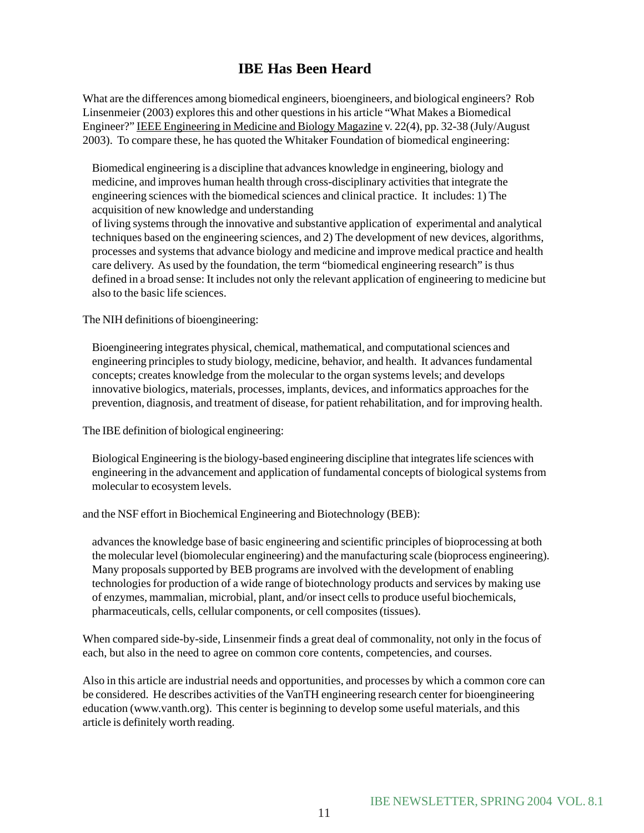## **IBE Has Been Heard**

What are the differences among biomedical engineers, bioengineers, and biological engineers? Rob Linsenmeier (2003) explores this and other questions in his article "What Makes a Biomedical Engineer?" IEEE Engineering in Medicine and Biology Magazine v. 22(4), pp. 32-38 (July/August 2003). To compare these, he has quoted the Whitaker Foundation of biomedical engineering:

Biomedical engineering is a discipline that advances knowledge in engineering, biology and medicine, and improves human health through cross-disciplinary activities that integrate the engineering sciences with the biomedical sciences and clinical practice. It includes: 1) The acquisition of new knowledge and understanding

of living systems through the innovative and substantive application of experimental and analytical techniques based on the engineering sciences, and 2) The development of new devices, algorithms, processes and systems that advance biology and medicine and improve medical practice and health care delivery. As used by the foundation, the term "biomedical engineering research" is thus defined in a broad sense: It includes not only the relevant application of engineering to medicine but also to the basic life sciences.

The NIH definitions of bioengineering:

Bioengineering integrates physical, chemical, mathematical, and computational sciences and engineering principles to study biology, medicine, behavior, and health. It advances fundamental concepts; creates knowledge from the molecular to the organ systems levels; and develops innovative biologics, materials, processes, implants, devices, and informatics approaches for the prevention, diagnosis, and treatment of disease, for patient rehabilitation, and for improving health.

The IBE definition of biological engineering:

Biological Engineering is the biology-based engineering discipline that integrates life sciences with engineering in the advancement and application of fundamental concepts of biological systems from molecular to ecosystem levels.

and the NSF effort in Biochemical Engineering and Biotechnology (BEB):

advances the knowledge base of basic engineering and scientific principles of bioprocessing at both the molecular level (biomolecular engineering) and the manufacturing scale (bioprocess engineering). Many proposals supported by BEB programs are involved with the development of enabling technologies for production of a wide range of biotechnology products and services by making use of enzymes, mammalian, microbial, plant, and/or insect cells to produce useful biochemicals, pharmaceuticals, cells, cellular components, or cell composites (tissues).

When compared side-by-side, Linsenmeir finds a great deal of commonality, not only in the focus of each, but also in the need to agree on common core contents, competencies, and courses.

Also in this article are industrial needs and opportunities, and processes by which a common core can be considered. He describes activities of the VanTH engineering research center for bioengineering education (www.vanth.org). This center is beginning to develop some useful materials, and this article is definitely worth reading.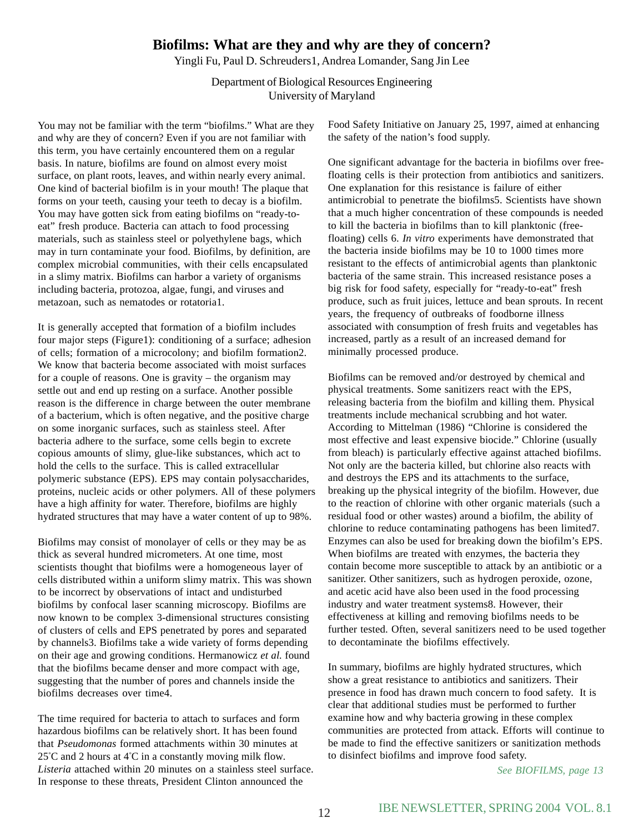### **Biofilms: What are they and why are they of concern?**

Yingli Fu, Paul D. Schreuders1, Andrea Lomander, Sang Jin Lee

Department of Biological Resources Engineering University of Maryland

You may not be familiar with the term "biofilms." What are they and why are they of concern? Even if you are not familiar with this term, you have certainly encountered them on a regular basis. In nature, biofilms are found on almost every moist surface, on plant roots, leaves, and within nearly every animal. One kind of bacterial biofilm is in your mouth! The plaque that forms on your teeth, causing your teeth to decay is a biofilm. You may have gotten sick from eating biofilms on "ready-toeat" fresh produce. Bacteria can attach to food processing materials, such as stainless steel or polyethylene bags, which may in turn contaminate your food. Biofilms, by definition, are complex microbial communities, with their cells encapsulated in a slimy matrix. Biofilms can harbor a variety of organisms including bacteria, protozoa, algae, fungi, and viruses and metazoan, such as nematodes or rotatoria1.

It is generally accepted that formation of a biofilm includes four major steps (Figure1): conditioning of a surface; adhesion of cells; formation of a microcolony; and biofilm formation2. We know that bacteria become associated with moist surfaces for a couple of reasons. One is gravity – the organism may settle out and end up resting on a surface. Another possible reason is the difference in charge between the outer membrane of a bacterium, which is often negative, and the positive charge on some inorganic surfaces, such as stainless steel. After bacteria adhere to the surface, some cells begin to excrete copious amounts of slimy, glue-like substances, which act to hold the cells to the surface. This is called extracellular polymeric substance (EPS). EPS may contain polysaccharides, proteins, nucleic acids or other polymers. All of these polymers have a high affinity for water. Therefore, biofilms are highly hydrated structures that may have a water content of up to 98%.

Biofilms may consist of monolayer of cells or they may be as thick as several hundred micrometers. At one time, most scientists thought that biofilms were a homogeneous layer of cells distributed within a uniform slimy matrix. This was shown to be incorrect by observations of intact and undisturbed biofilms by confocal laser scanning microscopy. Biofilms are now known to be complex 3-dimensional structures consisting of clusters of cells and EPS penetrated by pores and separated by channels3. Biofilms take a wide variety of forms depending on their age and growing conditions. Hermanowicz *et al.* found that the biofilms became denser and more compact with age, suggesting that the number of pores and channels inside the biofilms decreases over time4.

The time required for bacteria to attach to surfaces and form hazardous biofilms can be relatively short. It has been found that *Pseudomonas* formed attachments within 30 minutes at 25° C and 2 hours at 4° C in a constantly moving milk flow*. Listeria* attached within 20 minutes on a stainless steel surface. In response to these threats, President Clinton announced the

Food Safety Initiative on January 25, 1997, aimed at enhancing the safety of the nation's food supply.

One significant advantage for the bacteria in biofilms over freefloating cells is their protection from antibiotics and sanitizers. One explanation for this resistance is failure of either antimicrobial to penetrate the biofilms5. Scientists have shown that a much higher concentration of these compounds is needed to kill the bacteria in biofilms than to kill planktonic (freefloating) cells 6. *In vitro* experiments have demonstrated that the bacteria inside biofilms may be 10 to 1000 times more resistant to the effects of antimicrobial agents than planktonic bacteria of the same strain. This increased resistance poses a big risk for food safety, especially for "ready-to-eat" fresh produce, such as fruit juices, lettuce and bean sprouts. In recent years, the frequency of outbreaks of foodborne illness associated with consumption of fresh fruits and vegetables has increased, partly as a result of an increased demand for minimally processed produce.

Biofilms can be removed and/or destroyed by chemical and physical treatments. Some sanitizers react with the EPS, releasing bacteria from the biofilm and killing them. Physical treatments include mechanical scrubbing and hot water. According to Mittelman (1986) "Chlorine is considered the most effective and least expensive biocide." Chlorine (usually from bleach) is particularly effective against attached biofilms. Not only are the bacteria killed, but chlorine also reacts with and destroys the EPS and its attachments to the surface, breaking up the physical integrity of the biofilm. However, due to the reaction of chlorine with other organic materials (such a residual food or other wastes) around a biofilm, the ability of chlorine to reduce contaminating pathogens has been limited7. Enzymes can also be used for breaking down the biofilm's EPS. When biofilms are treated with enzymes, the bacteria they contain become more susceptible to attack by an antibiotic or a sanitizer. Other sanitizers, such as hydrogen peroxide, ozone, and acetic acid have also been used in the food processing industry and water treatment systems8. However, their effectiveness at killing and removing biofilms needs to be further tested. Often, several sanitizers need to be used together to decontaminate the biofilms effectively.

In summary, biofilms are highly hydrated structures, which show a great resistance to antibiotics and sanitizers. Their presence in food has drawn much concern to food safety. It is clear that additional studies must be performed to further examine how and why bacteria growing in these complex communities are protected from attack. Efforts will continue to be made to find the effective sanitizers or sanitization methods to disinfect biofilms and improve food safety.

*See BIOFILMS, page 13*